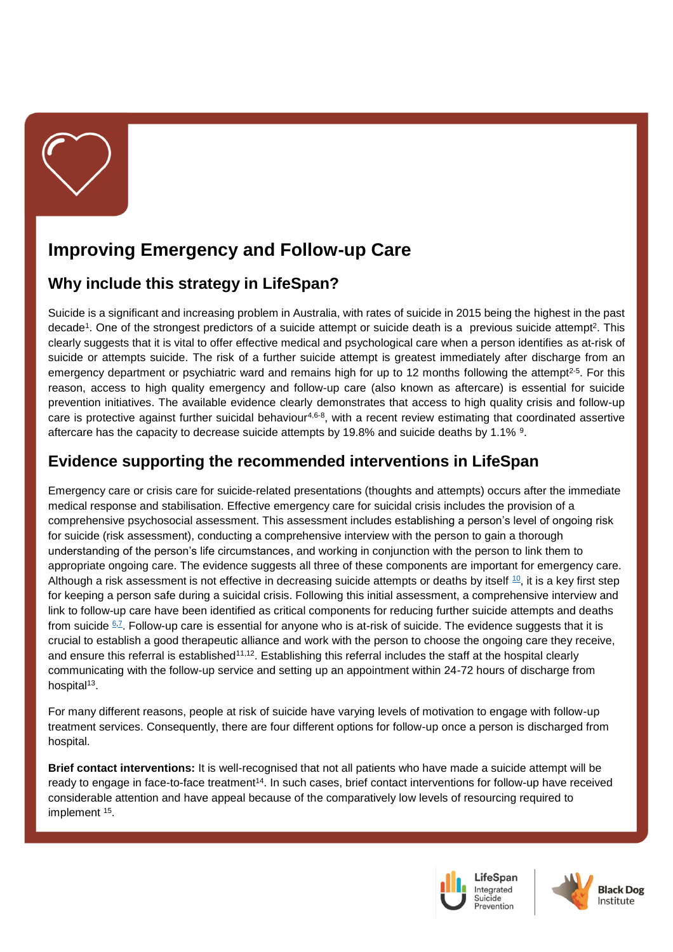

# **Improving Emergency and Follow-up Care**

## **Why include this strategy in LifeSpan?**

Suicide is a significant and increasing problem in Australia, with rates of suicide in 2015 being the highest in the past decade<sup>[1](#page-3-0)</sup>. One of the strongest predictors of a suicide attempt or suicide death is a previous suicide attempt<sup>[2](#page-3-1)</sup>. This clearly suggests that it is vital to offer effective medical and psychological care when a person identifies as at-risk of suicide or attempts suicide. The risk of a further suicide attempt is greatest immediately after discharge from an emergency department or psychiatric ward and remains high for up to 12 months following the attempt<sup>[2-5](#page-3-1)</sup>. For this reason, access to high quality emergency and follow-up care (also known as aftercare) is essential for suicide prevention initiatives. The available evidence clearly demonstrates that access to high quality crisis and follow-up care is protective against further suicidal behaviour<sup>[4,](#page-3-2)[6-8](#page-3-3)</sup>, with a recent review estimating that coordinated assertive aftercare has the capacity to decrease suicide attempts by 1[9](#page-3-4).8% and suicide deaths by 1.1% <sup>9</sup>.

#### **Evidence supporting the recommended interventions in LifeSpan**

Emergency care or crisis care for suicide-related presentations (thoughts and attempts) occurs after the immediate medical response and stabilisation. Effective emergency care for suicidal crisis includes the provision of a comprehensive psychosocial assessment. This assessment includes establishing a person's level of ongoing risk for suicide (risk assessment), conducting a comprehensive interview with the person to gain a thorough understanding of the person's life circumstances, and working in conjunction with the person to link them to appropriate ongoing care. The evidence suggests all three of these components are important for emergency care. Although a risk assessment is not effective in decreasing suicide attempts or deaths by itself  $10$ , it is a key first step for keeping a person safe during a suicidal crisis. Following this initial assessment, a comprehensive interview and link to follow-up care have been identified as critical components for reducing further suicide attempts and deaths from suicide <u>6Z.</u> Follow-up care is essential for anyone who is at-risk of suicide. The evidence suggests that it is crucial to establish a good therapeutic alliance and work with the person to choose the ongoing care they receive, and ensure this referral is established<sup>[11,](#page-4-0)[12](#page-4-1)</sup>. Establishing this referral includes the staff at the hospital clearly communicating with the follow-up service and setting up an appointment within 24-72 hours of discharge from hospital<sup>[13](#page-4-2)</sup>.

For many different reasons, people at risk of suicide have varying levels of motivation to engage with follow-up treatment services. Consequently, there are four different options for follow-up once a person is discharged from hospital.

**Brief contact interventions:** It is well-recognised that not all patients who have made a suicide attempt will be ready to engage in face-to-face treatment<sup>[14](#page-4-3)</sup>. In such cases, brief contact interventions for follow-up have received considerable attention and have appeal because of the comparatively low levels of resourcing required to implement <sup>[15](#page-4-4)</sup>.



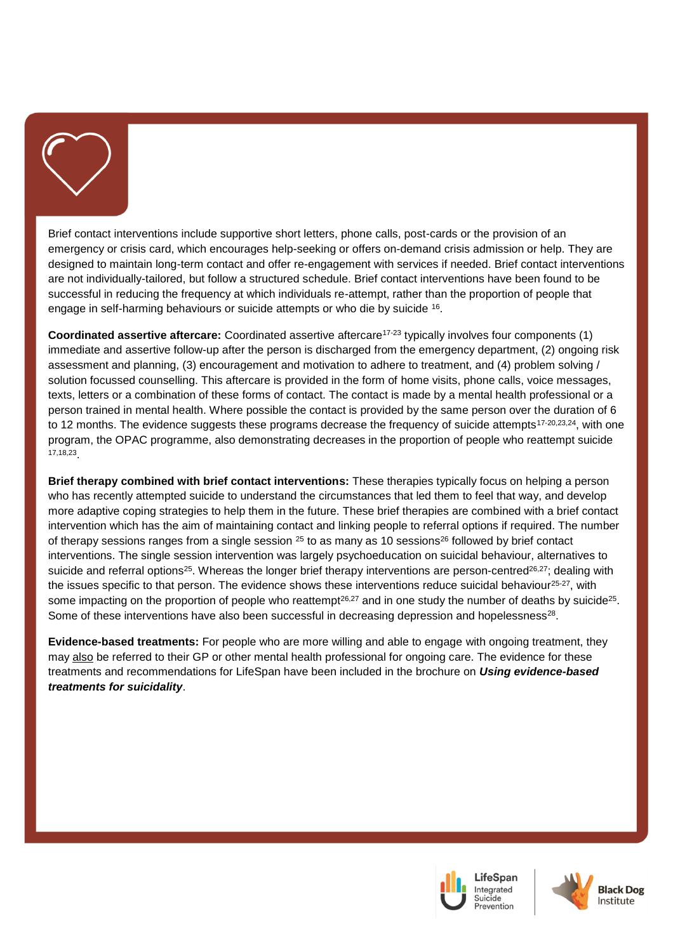

Brief contact interventions include supportive short letters, phone calls, post-cards or the provision of an emergency or crisis card, which encourages help-seeking or offers on-demand crisis admission or help. They are designed to maintain long-term contact and offer re-engagement with services if needed. Brief contact interventions are not individually-tailored, but follow a structured schedule. Brief contact interventions have been found to be successful in reducing the frequency at which individuals re-attempt, rather than the proportion of people that engage in self-harming behaviours or suicide attempts or who die by suicide [16](#page-4-5) .

**Coordinated assertive aftercare:** Coordinated assertive aftercare[17-23](#page-4-6) typically involves four components (1) immediate and assertive follow-up after the person is discharged from the emergency department, (2) ongoing risk assessment and planning, (3) encouragement and motivation to adhere to treatment, and (4) problem solving / solution focussed counselling. This aftercare is provided in the form of home visits, phone calls, voice messages, texts, letters or a combination of these forms of contact. The contact is made by a mental health professional or a person trained in mental health. Where possible the contact is provided by the same person over the duration of 6 to 12 months. The evidence suggests these programs decrease the frequency of suicide attempts<sup>[17-20](#page-4-6)[,23](#page-4-7)[,24](#page-4-8)</sup>, with one program, the OPAC programme, also demonstrating decreases in the proportion of people who reattempt suicide [17,](#page-4-6)[18,](#page-4-9)[23](#page-4-7) .

**Brief therapy combined with brief contact interventions:** These therapies typically focus on helping a person who has recently attempted suicide to understand the circumstances that led them to feel that way, and develop more adaptive coping strategies to help them in the future. These brief therapies are combined with a brief contact intervention which has the aim of maintaining contact and linking people to referral options if required. The number of therapy sessions ranges from a single session  $^{25}$  $^{25}$  $^{25}$  to as many as 10 sessions<sup>[26](#page-4-11)</sup> followed by brief contact interventions. The single session intervention was largely psychoeducation on suicidal behaviour, alternatives to suicide and referral options<sup>[25](#page-4-10)</sup>. Whereas the longer brief therapy interventions are person-centred<sup>[26,](#page-4-11)[27](#page-4-12)</sup>; dealing with the issues specific to that person. The evidence shows these interventions reduce suicidal behaviour<sup>[25-27](#page-4-10)</sup>, with some impacting on the proportion of people who reattempt<sup>[26,](#page-4-11)[27](#page-4-12)</sup> and in one study the number of deaths by suicide<sup>[25](#page-4-10)</sup>. Some of these interventions have also been successful in decreasing depression and hopelessness<sup>[28](#page-4-13)</sup>.

**Evidence-based treatments:** For people who are more willing and able to engage with ongoing treatment, they may also be referred to their GP or other mental health professional for ongoing care. The evidence for these treatments and recommendations for LifeSpan have been included in the brochure on *Using evidence-based treatments for suicidality*.



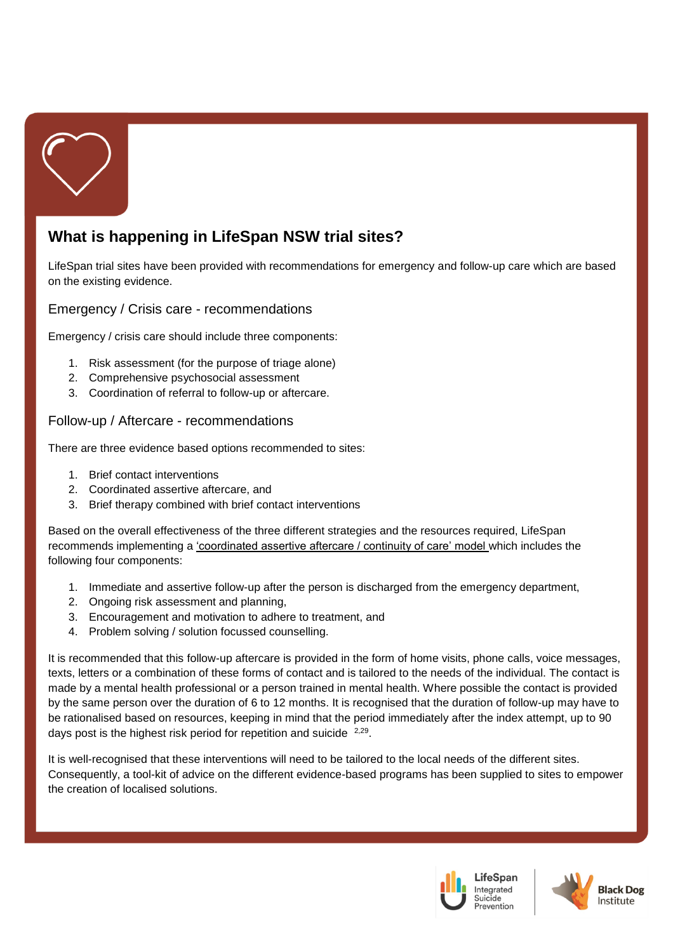

# **What is happening in LifeSpan NSW trial sites?**

LifeSpan trial sites have been provided with recommendations for emergency and follow-up care which are based on the existing evidence.

Emergency / Crisis care - recommendations

Emergency / crisis care should include three components:

- 1. Risk assessment (for the purpose of triage alone)
- 2. Comprehensive psychosocial assessment
- 3. Coordination of referral to follow-up or aftercare.

#### Follow-up / Aftercare - recommendations

There are three evidence based options recommended to sites:

- 1. Brief contact interventions
- 2. Coordinated assertive aftercare, and
- 3. Brief therapy combined with brief contact interventions

Based on the overall effectiveness of the three different strategies and the resources required, LifeSpan recommends implementing a 'coordinated assertive aftercare / continuity of care' model which includes the following four components:

- 1. Immediate and assertive follow-up after the person is discharged from the emergency department,
- 2. Ongoing risk assessment and planning,
- 3. Encouragement and motivation to adhere to treatment, and
- 4. Problem solving / solution focussed counselling.

It is recommended that this follow-up aftercare is provided in the form of home visits, phone calls, voice messages, texts, letters or a combination of these forms of contact and is tailored to the needs of the individual. The contact is made by a mental health professional or a person trained in mental health. Where possible the contact is provided by the same person over the duration of 6 to 12 months. It is recognised that the duration of follow-up may have to be rationalised based on resources, keeping in mind that the period immediately after the index attempt, up to 90 days post is the highest risk period for repetition and suicide <sup>[2,](#page-3-1)[29](#page-4-14)</sup>.

It is well-recognised that these interventions will need to be tailored to the local needs of the different sites. Consequently, a tool-kit of advice on the different evidence-based programs has been supplied to sites to empower the creation of localised solutions.



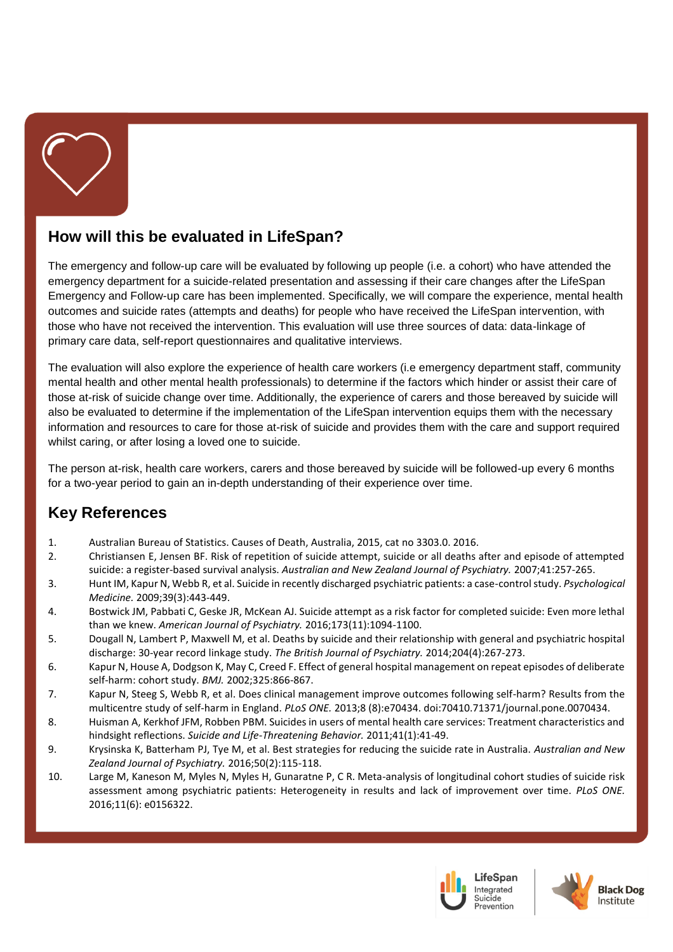

## **How will this be evaluated in LifeSpan?**

The emergency and follow-up care will be evaluated by following up people (i.e. a cohort) who have attended the emergency department for a suicide-related presentation and assessing if their care changes after the LifeSpan Emergency and Follow-up care has been implemented. Specifically, we will compare the experience, mental health outcomes and suicide rates (attempts and deaths) for people who have received the LifeSpan intervention, with those who have not received the intervention. This evaluation will use three sources of data: data-linkage of primary care data, self-report questionnaires and qualitative interviews.

The evaluation will also explore the experience of health care workers (i.e emergency department staff, community mental health and other mental health professionals) to determine if the factors which hinder or assist their care of those at-risk of suicide change over time. Additionally, the experience of carers and those bereaved by suicide will also be evaluated to determine if the implementation of the LifeSpan intervention equips them with the necessary information and resources to care for those at-risk of suicide and provides them with the care and support required whilst caring, or after losing a loved one to suicide.

The person at-risk, health care workers, carers and those bereaved by suicide will be followed-up every 6 months for a two-year period to gain an in-depth understanding of their experience over time.

#### **Key References**

- <span id="page-3-0"></span>1. Australian Bureau of Statistics. Causes of Death, Australia, 2015, cat no 3303.0. 2016.
- <span id="page-3-1"></span>2. Christiansen E, Jensen BF. Risk of repetition of suicide attempt, suicide or all deaths after and episode of attempted suicide: a register-based survival analysis. *Australian and New Zealand Journal of Psychiatry.* 2007;41:257-265.
- 3. Hunt IM, Kapur N, Webb R, et al. Suicide in recently discharged psychiatric patients: a case-control study. *Psychological Medicine.* 2009;39(3):443-449.
- <span id="page-3-2"></span>4. Bostwick JM, Pabbati C, Geske JR, McKean AJ. Suicide attempt as a risk factor for completed suicide: Even more lethal than we knew. *American Journal of Psychiatry.* 2016;173(11):1094-1100.
- 5. Dougall N, Lambert P, Maxwell M, et al. Deaths by suicide and their relationship with general and psychiatric hospital discharge: 30-year record linkage study. *The British Journal of Psychiatry.* 2014;204(4):267-273.
- <span id="page-3-3"></span>6. Kapur N, House A, Dodgson K, May C, Creed F. Effect of general hospital management on repeat episodes of deliberate self-harm: cohort study. *BMJ.* 2002;325:866-867.
- <span id="page-3-6"></span>7. Kapur N, Steeg S, Webb R, et al. Does clinical management improve outcomes following self-harm? Results from the multicentre study of self-harm in England. *PLoS ONE.* 2013;8 (8):e70434. doi:70410.71371/journal.pone.0070434.
- 8. Huisman A, Kerkhof JFM, Robben PBM. Suicides in users of mental health care services: Treatment characteristics and hindsight reflections. *Suicide and Life-Threatening Behavior.* 2011;41(1):41-49.
- <span id="page-3-4"></span>9. Krysinska K, Batterham PJ, Tye M, et al. Best strategies for reducing the suicide rate in Australia. *Australian and New Zealand Journal of Psychiatry.* 2016;50(2):115-118.
- <span id="page-3-5"></span>10. Large M, Kaneson M, Myles N, Myles H, Gunaratne P, C R. Meta-analysis of longitudinal cohort studies of suicide risk assessment among psychiatric patients: Heterogeneity in results and lack of improvement over time. *PLoS ONE.*  2016;11(6): e0156322.